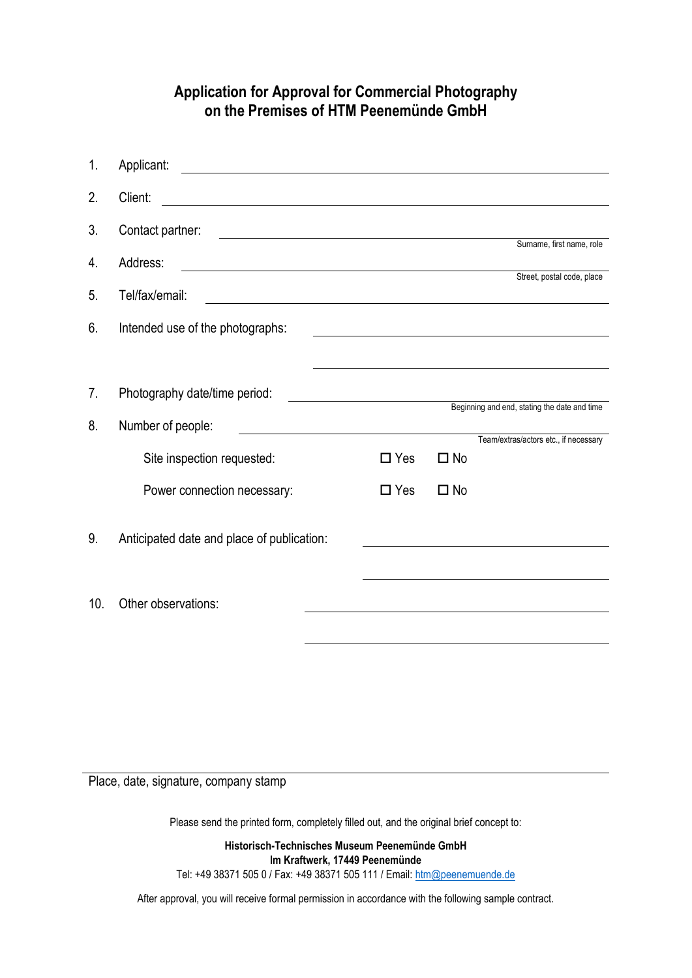## **Application for Approval for Commercial Photography on the Premises of HTM Peenemünde GmbH**

| 1.  | Applicant:                                                                                                                                |                                                           |            |              |                                                                                                                      |
|-----|-------------------------------------------------------------------------------------------------------------------------------------------|-----------------------------------------------------------|------------|--------------|----------------------------------------------------------------------------------------------------------------------|
| 2.  | Client:<br><u> 1980 - Johann Barn, fransk politik (f. 1980)</u>                                                                           |                                                           |            |              |                                                                                                                      |
| 3.  | Contact partner:<br><u> 1980 - Johann Barn, mars ann an t-Amhain Aonaichte ann an t-Amhain Aonaichte ann an t-Amhain Aonaichte ann an</u> |                                                           |            |              | Surname, first name, role                                                                                            |
| 4.  | Address:                                                                                                                                  |                                                           |            |              |                                                                                                                      |
| 5.  | Tel/fax/email:                                                                                                                            |                                                           |            |              | Street, postal code, place                                                                                           |
| 6.  | Intended use of the photographs:                                                                                                          |                                                           |            |              |                                                                                                                      |
|     |                                                                                                                                           |                                                           |            |              | <u> 1989 - Johann Stein, mars an deutscher Stein und der Stein und der Stein und der Stein und der Stein und der</u> |
| 7.  | Photography date/time period:                                                                                                             |                                                           |            |              |                                                                                                                      |
| 8.  | Number of people:                                                                                                                         | Example 2014 Beginning and end, stating the date and time |            |              |                                                                                                                      |
|     | Site inspection requested:                                                                                                                |                                                           | $\Box$ Yes | $\square$ No | Team/extras/actors etc., if necessary                                                                                |
|     | Power connection necessary:                                                                                                               |                                                           | $\Box$ Yes | $\square$ No |                                                                                                                      |
| 9.  | Anticipated date and place of publication:                                                                                                |                                                           |            |              |                                                                                                                      |
|     |                                                                                                                                           |                                                           |            |              |                                                                                                                      |
| 10. | Other observations:                                                                                                                       |                                                           |            |              |                                                                                                                      |
|     |                                                                                                                                           |                                                           |            |              |                                                                                                                      |
|     |                                                                                                                                           |                                                           |            |              |                                                                                                                      |

Place, date, signature, company stamp

Please send the printed form, completely filled out, and the original brief concept to:

**Historisch-Technisches Museum Peenemünde GmbH Im Kraftwerk, 17449 Peenemünde** Tel: +49 38371 505 0 / Fax: +49 38371 505 111 / Email: [htm@peenemuende.de](mailto:htm@peenemuende.de)

After approval, you will receive formal permission in accordance with the following sample contract.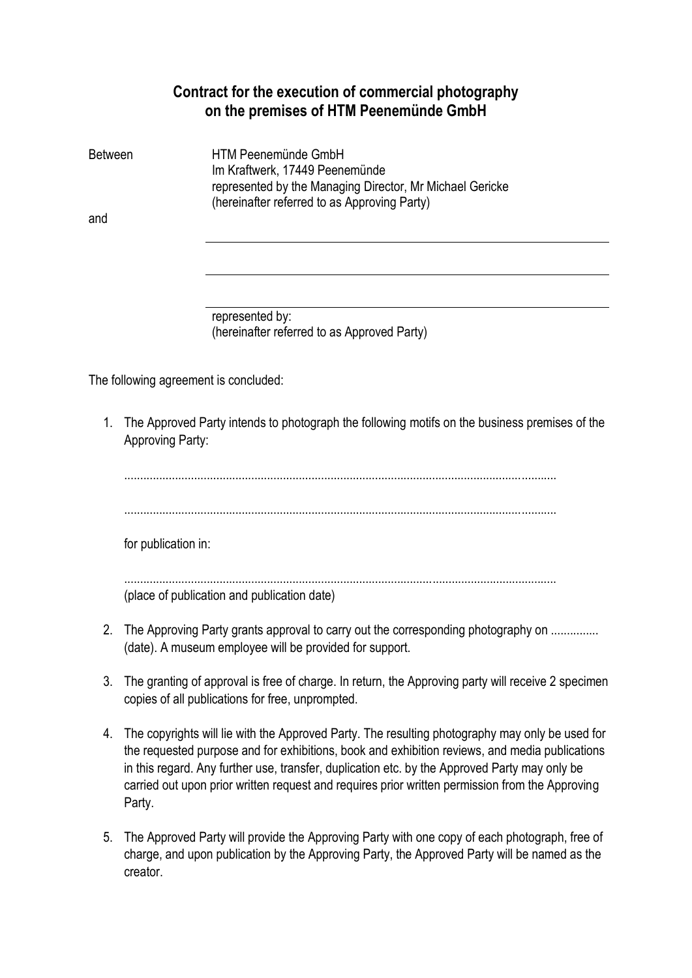## **Contract for the execution of commercial photography on the premises of HTM Peenemünde GmbH**

| HTM Peenemünde GmbH                                                                                      |                                |
|----------------------------------------------------------------------------------------------------------|--------------------------------|
| represented by the Managing Director, Mr Michael Gericke<br>(hereinafter referred to as Approving Party) |                                |
|                                                                                                          |                                |
|                                                                                                          | Im Kraftwerk, 17449 Peenemünde |

represented by: (hereinafter referred to as Approved Party)

The following agreement is concluded:

1. The Approved Party intends to photograph the following motifs on the business premises of the Approving Party:

........................................................................................................................................ ........................................................................................................................................ for publication in: ........................................................................................................................................ (place of publication and publication date) 2. The Approving Party grants approval to carry out the corresponding photography on ............... (date). A museum employee will be provided for support.

- 3. The granting of approval is free of charge. In return, the Approving party will receive 2 specimen copies of all publications for free, unprompted.
- 4. The copyrights will lie with the Approved Party. The resulting photography may only be used for the requested purpose and for exhibitions, book and exhibition reviews, and media publications in this regard. Any further use, transfer, duplication etc. by the Approved Party may only be carried out upon prior written request and requires prior written permission from the Approving Party.
- 5. The Approved Party will provide the Approving Party with one copy of each photograph, free of charge, and upon publication by the Approving Party, the Approved Party will be named as the creator.